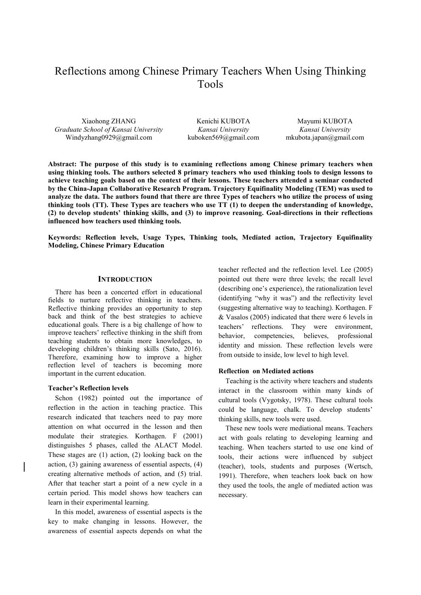# Reflections among Chinese Primary Teachers When Using Thinking Tools

Xiaohong ZHANG *Graduate School of Kansai University* Windyzhang0929@gmail.com

Kenichi KUBOTA *Kansai University*  kuboken569@gmail.com

Mayumi KUBOTA *Kansai University*  mkubota.japan@gmail.com

**Abstract: The purpose of this study is to examining reflections among Chinese primary teachers when using thinking tools. The authors selected 8 primary teachers who used thinking tools to design lessons to achieve teaching goals based on the context of their lessons. These teachers attended a seminar conducted by the China-Japan Collaborative Research Program. Trajectory Equifinality Modeling (TEM) was used to analyze the data. The authors found that there are three Types of teachers who utilize the process of using thinking tools (TT). These Types are teachers who use TT (1) to deepen the understanding of knowledge, (2) to develop students' thinking skills, and (3) to improve reasoning. Goal-directions in their reflections influenced how teachers used thinking tools.** 

**Keywords: Reflection levels, Usage Types, Thinking tools, Mediated action, Trajectory Equifinality Modeling, Chinese Primary Education** 

#### **INTRODUCTION**

There has been a concerted effort in educational fields to nurture reflective thinking in teachers. Reflective thinking provides an opportunity to step back and think of the best strategies to achieve educational goals. There is a big challenge of how to improve teachers' reflective thinking in the shift from teaching students to obtain more knowledges, to developing children's thinking skills (Sato, 2016). Therefore, examining how to improve a higher reflection level of teachers is becoming more important in the current education.

#### **Teacher's Reflection levels**

Schon (1982) pointed out the importance of reflection in the action in teaching practice. This research indicated that teachers need to pay more attention on what occurred in the lesson and then modulate their strategies. Korthagen. F (2001) distinguishes 5 phases, called the ALACT Model. These stages are (1) action, (2) looking back on the action, (3) gaining awareness of essential aspects, (4) creating alternative methods of action, and (5) trial. After that teacher start a point of a new cycle in a certain period. This model shows how teachers can learn in their experimental learning.

In this model, awareness of essential aspects is the key to make changing in lessons. However, the awareness of essential aspects depends on what the

teacher reflected and the reflection level. Lee (2005) pointed out there were three levels; the recall level (describing one's experience), the rationalization level (identifying "why it was") and the reflectivity level (suggesting alternative way to teaching). Korthagen. F & Vasalos (2005) indicated that there were 6 levels in teachers' reflections. They were environment, behavior, competencies, believes, professional identity and mission. These reflection levels were from outside to inside, low level to high level.

# **Reflection on Mediated actions**

Teaching is the activity where teachers and students interact in the classroom within many kinds of cultural tools (Vygotsky, 1978). These cultural tools could be language, chalk. To develop students' thinking skills, new tools were used.

These new tools were mediational means. Teachers act with goals relating to developing learning and teaching. When teachers started to use one kind of tools, their actions were influenced by subject (teacher), tools, students and purposes (Wertsch, 1991). Therefore, when teachers look back on how they used the tools, the angle of mediated action was necessary.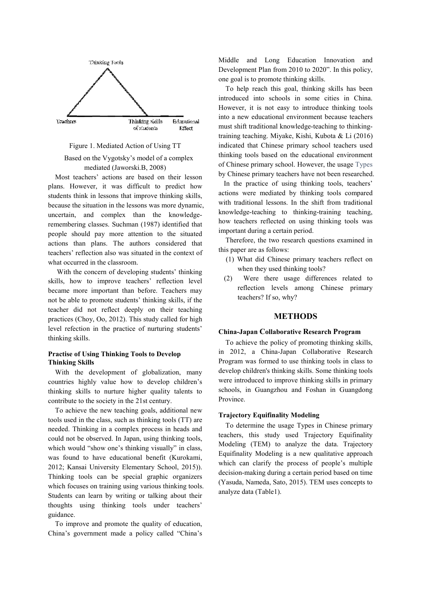

## Figure 1. Mediated Action of Using TT

# Based on the Vygotsky's model of a complex mediated (Jaworski.B, 2008)

Most teachers' actions are based on their lesson plans. However, it was difficult to predict how students think in lessons that improve thinking skills, because the situation in the lessons was more dynamic, uncertain, and complex than the knowledgeremembering classes. Suchman (1987) identified that people should pay more attention to the situated actions than plans. The authors considered that teachers' reflection also was situated in the context of what occurred in the classroom.

 With the concern of developing students' thinking skills, how to improve teachers' reflection level became more important than before. Teachers may not be able to promote students' thinking skills, if the teacher did not reflect deeply on their teaching practices (Choy, Oo, 2012). This study called for high level refection in the practice of nurturing students' thinking skills.

## **Practise of Using Thinking Tools to Develop Thinking Skills**

With the development of globalization, many countries highly value how to develop children's thinking skills to nurture higher quality talents to contribute to the society in the 21st century.

To achieve the new teaching goals, additional new tools used in the class, such as thinking tools (TT) are needed. Thinking in a complex process in heads and could not be observed. In Japan, using thinking tools, which would "show one's thinking visually" in class, was found to have educational benefit (Kurokami, 2012; Kansai University Elementary School, 2015)). Thinking tools can be special graphic organizers which focuses on training using various thinking tools. Students can learn by writing or talking about their thoughts using thinking tools under teachers' guidance.

To improve and promote the quality of education, China's government made a policy called "China's Middle and Long Education Innovation and Development Plan from 2010 to 2020". In this policy, one goal is to promote thinking skills.

To help reach this goal, thinking skills has been introduced into schools in some cities in China. However, it is not easy to introduce thinking tools into a new educational environment because teachers must shift traditional knowledge-teaching to thinkingtraining teaching. Miyake, Kishi, Kubota & Li (2016) indicated that Chinese primary school teachers used thinking tools based on the educational environment of Chinese primary school. However, the usage Types by Chinese primary teachers have not been researched.

 In the practice of using thinking tools, teachers' actions were mediated by thinking tools compared with traditional lessons. In the shift from traditional knowledge-teaching to thinking-training teaching, how teachers reflected on using thinking tools was important during a certain period.

Therefore, the two research questions examined in this paper are as follows:

- (1) What did Chinese primary teachers reflect on when they used thinking tools?
- (2) Were there usage differences related to reflection levels among Chinese primary teachers? If so, why?

# **METHODS**

## **China-Japan Collaborative Research Program**

To achieve the policy of promoting thinking skills, in 2012, a China-Japan Collaborative Research Program was formed to use thinking tools in class to develop children's thinking skills. Some thinking tools were introduced to improve thinking skills in primary schools, in Guangzhou and Foshan in Guangdong Province.

## **Trajectory Equifinality Modeling**

To determine the usage Types in Chinese primary teachers, this study used Trajectory Equifinality Modeling (TEM) to analyze the data. Trajectory Equifinality Modeling is a new qualitative approach which can clarify the process of people's multiple decision-making during a certain period based on time (Yasuda, Nameda, Sato, 2015). TEM uses concepts to analyze data (Table1).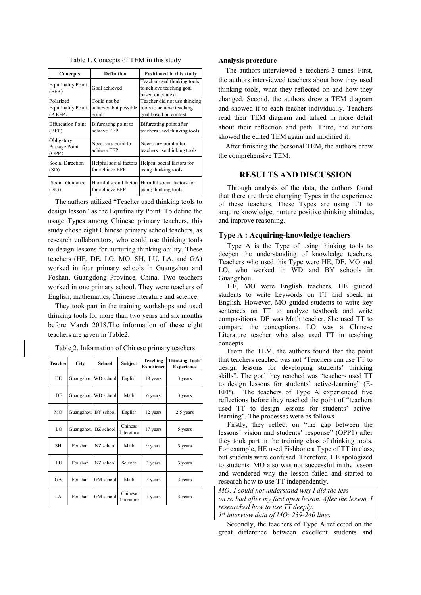| Concepts                                            | <b>Definition</b>                              | Positioned in this study                                                           |  |
|-----------------------------------------------------|------------------------------------------------|------------------------------------------------------------------------------------|--|
| <b>Equifinality Point</b><br>(EFP)                  | Goal achieved                                  | Teacher used thinking tools<br>to achieve teaching goal<br>based on context        |  |
| Polarized<br><b>Equifinality Point</b><br>$(P-EFP)$ | Could not be<br>achieved but possible<br>point | Teacher did not use thinking<br>tools to achieve teaching<br>goal based on context |  |
| <b>Bifurcation Point</b><br>(BFP)                   | Bifurcating point to<br>achieve EFP            | Bifurcating point after<br>teachers used thinking tools                            |  |
| Obligatory<br>Passage Point<br>(OPP)                | Necessary point to<br>achieve EFP              | Necessary point after<br>teachers use thinking tools                               |  |
| Social Direction<br>(SD)                            | Helpful social factors<br>for achieve EFP      | Helpful social factors for<br>using thinking tools                                 |  |
| Social Guidance<br>(SG)                             | for achieve EFP                                | Harmful social factors Harmful social factors for<br>using thinking tools          |  |

Table 1. Concepts of TEM in this study

The authors utilized "Teacher used thinking tools to design lesson" as the Equifinality Point. To define the usage Types among Chinese primary teachers, this study chose eight Chinese primary school teachers, as research collaborators, who could use thinking tools to design lessons for nurturing thinking ability. These teachers (HE, DE, LO, MO, SH, LU, LA, and GA) worked in four primary schools in Guangzhou and Foshan, Guangdong Province, China. Two teachers worked in one primary school. They were teachers of English, mathematics, Chinese literature and science.

They took part in the training workshops and used thinking tools for more than two years and six months before March 2018.The information of these eight teachers are given in Table2.

| <b>Teacher</b> | City      | School              | Subject               | Teaching<br><b>Experience</b> | <b>Thinking Tools'</b><br><b>Experience</b> |
|----------------|-----------|---------------------|-----------------------|-------------------------------|---------------------------------------------|
| <b>HE</b>      |           | Guangzhou WD school | English               | 18 years                      | 3 years                                     |
| DE             |           | Guangzhou WD school | Math                  | 6 years                       | 3 years                                     |
| MO             |           | Guangzhou BY school | English               | 12 years                      | 2.5 years                                   |
| LO             | Guangzhou | BZ school           | Chinese<br>Literature | 17 years                      | 5 years                                     |
| <b>SH</b>      | Foushan   | NZ school           | Math                  | 9 years                       | 3 years                                     |
| LU             | Foushan   | NZ school           | Science               | 3 years                       | 3 years                                     |
| GA             | Foushan   | GM school           | Math                  | 5 years                       | 3 years                                     |
| LA             | Foushan   | GM school           | Chinese<br>Literature | 5 years                       | 3 years                                     |

Table 2. Information of Chinese primary teachers

#### **Analysis procedure**

The authors interviewed 8 teachers 3 times. First, the authors interviewed teachers about how they used thinking tools, what they reflected on and how they changed. Second, the authors drew a TEM diagram and showed it to each teacher individually. Teachers read their TEM diagram and talked in more detail about their reflection and path. Third, the authors showed the edited TEM again and modified it.

After finishing the personal TEM, the authors drew the comprehensive TEM.

# **RESULTS AND DISCUSSION**

Through analysis of the data, the authors found that there are three changing Types in the experience of these teachers. These Types are using TT to acquire knowledge, nurture positive thinking altitudes, and improve reasoning.

## **Type A : Acquiring-knowledge teachers**

Type A is the Type of using thinking tools to deepen the understanding of knowledge teachers. Teachers who used this Type were HE, DE, MO and LO, who worked in WD and BY schools in Guangzhou.

HE, MO were English teachers. HE guided students to write keywords on TT and speak in English. However, MO guided students to write key sentences on TT to analyze textbook and write compositions. DE was Math teacher. She used TT to compare the conceptions. LO was a Chinese Literature teacher who also used TT in teaching concepts.

From the TEM, the authors found that the point that teachers reached was not "Teachers can use TT to design lessons for developing students' thinking skills". The goal they reached was "teachers used TT to design lessons for students' active-learning" (E-EFP). The teachers of Type A experienced five reflections before they reached the point of "teachers used TT to design lessons for students' activelearning". The processes were as follows.

Firstly, they reflect on "the gap between the lessons' vision and students' response" (OPP1) after they took part in the training class of thinking tools. For example, HE used Fishbone a Type of TT in class, but students were confused. Therefore, HE apologized to students. MO also was not successful in the lesson and wondered why the lesson failed and started to research how to use TT independently.

*MO: I could not understand why I did the less on so bad after my first open lesson. After the lesson, I researched how to use TT deeply. 1 st interview data of MO: 239-240 lines* 

Secondly, the teachers of Type A reflected on the great difference between excellent students and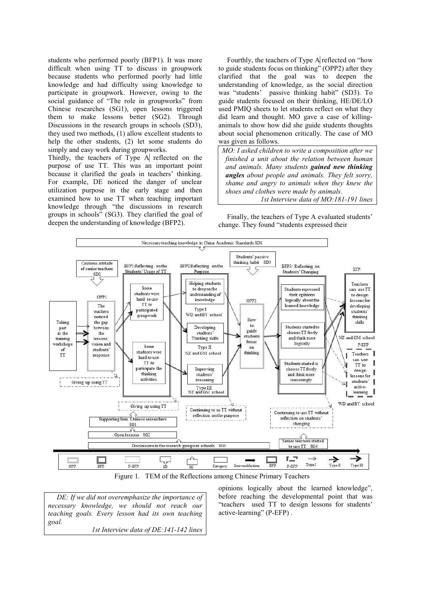students who performed poorly (BFP1). It was more difficult when using TT to discuss in groupwork because students who performed poorly had little knowledge and had difficulty using knowledge to participate in groupwork. However, owing to the social guidance of "The role in groupworks" from Chinese researches (SG1), open lessons triggered them to make lessons better (SG2). Through Discussions in the research groups in schools (SD3), they used two methods, (1) allow excellent students to help the other students, (2) let some students do simply and easy work during groupworks.

Thirdly, the teachers of Type  $A$  reflected on the purpose of use TT. This was an important point because it clarified the goals in teachers' thinking. For example, DE noticed the danger of unclear utilization purpose in the early stage and then examined how to use TT when teaching important knowledge through "the discussions in research groups in schools" (SG3). They clarified the goal of deepen the understanding of knowledge (BFP2).

Fourthly, the teachers of Type  $A$  reflected on "how to guide students focus on thinking" (OPP2) after they clarified that the goal was to deepen the understanding of knowledge, as the social direction was "students' passive thinking habit" (SD3). To guide students focused on their thinking, HE/DE/LO used PMIQ sheets to let students reflect on what they did learn and thought. MO gave a case of killinganimals to show how did she guide students thoughts about social phenomenon critically. The case of MO was given as follows.

*MO: I asked children to write a composition after we finished a unit about the relation between human and animals. Many students gained new thinking angles about people and animals. They felt sorry, shame and angry to animals when they knew the shoes and clothes were made by animals. 1st Interview data of MO:181-191 lines*

Finally, the teachers of Type A evaluated students' change. They found "students expressed their



Figure 1. TEM of the Reflections among Chinese Primary Teachers

*DE: If we did not overemphasize the importance of necessary knowledge, we should not reach our teaching goals. Every lesson had its own teaching goal. 1st Interview data of DE:141-142 lines* 

opinions logically about the learned knowledge", before reaching the developmental point that was "teachers used TT to design lessons for students' active-learning" (P-EFP) .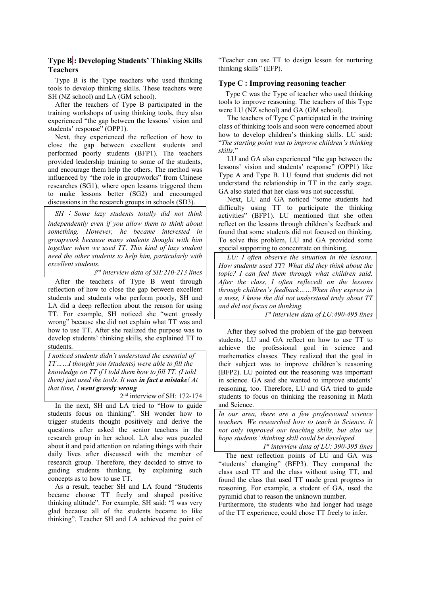# **Type B : Developing Students' Thinking Skills Teachers**

Type  $\overline{B}$  is the Type teachers who used thinking tools to develop thinking skills. These teachers were SH (NZ school) and LA (GM school).

After the teachers of Type B participated in the training workshops of using thinking tools, they also experienced "the gap between the lessons' vision and students' response" (OPP1).

Next, they experienced the reflection of how to close the gap between excellent students and performed poorly students (BFP1). The teachers provided leadership training to some of the students, and encourage them help the others. The method was influenced by "the role in groupworks" from Chinese researches (SG1), where open lessons triggered them to make lessons better (SG2) and encouraged discussions in the research groups in schools (SD3).

*SH* : *Some lazy students totally did not think independently even if you allow them to think about something. However, he became interested in groupwork because many students thought with him together when we used TT. This kind of lazy student need the other students to help him, particularly with excellent students.* 

*3 rd interview data of SH:210-213 lines* 

After the teachers of Type B went through reflection of how to close the gap between excellent students and students who perform poorly, SH and LA did a deep reflection about the reason for using TT. For example, SH noticed she "went grossly wrong" because she did not explain what TT was and how to use TT. After she realized the purpose was to develop students' thinking skills, she explained TT to students.

*I noticed students didn't understand the essential of TT……I thought you (students) were able to fill the knowledge on TT if I told them how to fill TT. (I told them) just used the tools. It was in fact a mistake! At that time, I went grossly wrong* 

2 nd interview of SH: 172-174

In the next, SH and LA tried to "How to guide students focus on thinking". SH wonder how to trigger students thought positively and derive the questions after asked the senior teachers in the research group in her school. LA also was puzzled about it and paid attention on relating things with their daily lives after discussed with the member of research group. Therefore, they decided to strive to guiding students thinking, by explaining such concepts as to how to use TT.

As a result, teacher SH and LA found "Students became choose TT freely and shaped positive thinking altitude". For example, SH said: "I was very glad because all of the students became to like thinking". Teacher SH and LA achieved the point of

"Teacher can use TT to design lesson for nurturing thinking skills" (EFP).

# **Type C : Improving reasoning teacher**

Type C was the Type of teacher who used thinking tools to improve reasoning. The teachers of this Type were LU (NZ school) and GA (GM school).

The teachers of Type C participated in the training class of thinking tools and soon were concerned about how to develop children's thinking skills. LU said: "*The starting point was to improve children's thinking skills.*"

LU and GA also experienced "the gap between the lessons' vision and students' response" (OPP1) like Type A and Type B. LU found that students did not understand the relationship in TT in the early stage. GA also stated that her class was not successful.

Next, LU and GA noticed "some students had difficulty using TT to participate the thinking activities" (BFP1). LU mentioned that she often reflect on the lessons through children's feedback and found that some students did not focused on thinking. To solve this problem, LU and GA provided some special supporting to concentrate on thinking.

*LU: I often observe the situation in the lessons. How students used TT? What did they think about the topic? I can feel them through what children said. After the class, I often reflecedt on the lessons through children's feedback……When they express in a mess, I knew the did not understand truly about TT and did not focus on thinking.* 

*1 st interview data of LU:490-495 lines* 

After they solved the problem of the gap between students, LU and GA reflect on how to use TT to achieve the professional goal in science and mathematics classes. They realized that the goal in their subject was to improve children's reasoning (BFP2). LU pointed out the reasoning was important in science. GA said she wanted to improve students' reasoning, too. Therefore, LU and GA tried to guide students to focus on thinking the reasoning in Math and Science.

*In our area, there are a few professional science teachers. We researched how to teach in Science. It not only improved our teaching skills, but also we hope students' thinking skill could be developed.* 

*1 st interview data of LU: 390-395 lines* 

 The next reflection points of LU and GA was "students' changing" (BFP3). They compared the class used TT and the class without using TT, and found the class that used TT made great progress in reasoning. For example, a student of GA, used the pyramid chat to reason the unknown number.

Furthermore, the students who had longer had usage of the TT experience, could chose TT freely to infer.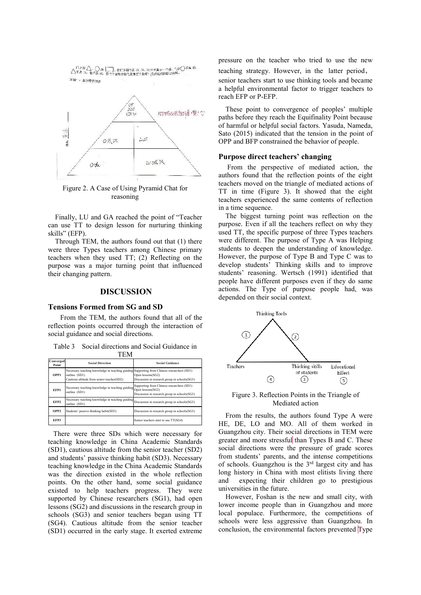

Figure 2. A Case of Using Pyramid Chat for reasoning

Finally, LU and GA reached the point of "Teacher can use TT to design lesson for nurturing thinking skills" (EFP).

Through TEM, the authors found out that (1) there were three Types teachers among Chinese primary teachers when they used TT; (2) Reflecting on the purpose was a major turning point that influenced their changing pattern.

# **DISCUSSION**

#### **Tensions Formed from SG and SD**

 From the TEM, the authors found that all of the reflection points occurred through the interaction of social guidance and social directions.

Table 3 Social directions and Social Guidance in TEM

| 11.1VI             |                                                                                                                                                           |                                                                                           |  |  |  |
|--------------------|-----------------------------------------------------------------------------------------------------------------------------------------------------------|-------------------------------------------------------------------------------------------|--|--|--|
| Converged<br>Point | <b>Social Direction</b>                                                                                                                                   | <b>Social Guidance</b>                                                                    |  |  |  |
| OPP1               | Necessary teaching knowledge in teaching guiding Supporting from Chinese researchers (SD1)<br>outline (SD1)<br>Cautious altitude from senior teacher(SD2) | Open lessons(SG2)<br>Discussion in research group in schools(SG3)                         |  |  |  |
| EFP1               | Necessary teaching knowledge in teaching guiding Open lessons(SG2)<br>outline (SD1)                                                                       | Supporting from Chinese researchers (SD1)<br>Discussion in research group in schools(SG3) |  |  |  |
| EFP <sub>2</sub>   | Necessary teaching knowledge in teaching guiding Discussion in research group in schools(SG3)<br>outline (SD1)                                            |                                                                                           |  |  |  |
| OPP <sub>2</sub>   | Students' passive thinking habit(SD3)                                                                                                                     | Discussion in research group in schools(SG3)                                              |  |  |  |
| EFP3               |                                                                                                                                                           | Senior teachers start to use TT(SG4)                                                      |  |  |  |

 There were three SDs which were necessary for teaching knowledge in China Academic Standards (SD1), cautious altitude from the senior teacher (SD2) and students' passive thinking habit (SD3). Necessary teaching knowledge in the China Academic Standards was the direction existed in the whole reflection points. On the other hand, some social guidance existed to help teachers progress. They were supported by Chinese researchers (SG1), had open lessons (SG2) and discussions in the research group in schools (SG3) and senior teachers began using TT (SG4). Cautious altitude from the senior teacher (SD1) occurred in the early stage. It exerted extreme pressure on the teacher who tried to use the new teaching strategy. However, in the latter period, senior teachers start to use thinking tools and became a helpful environmental factor to trigger teachers to reach EFP or P-EFP.

These point to convergence of peoples' multiple paths before they reach the Equifinality Point because of harmful or helpful social factors. Yasuda, Nameda, Sato (2015) indicated that the tension in the point of OPP and BFP constrained the behavior of people.

## **Purpose direct teachers' changing**

 From the perspective of mediated action, the authors found that the reflection points of the eight teachers moved on the triangle of mediated actions of TT in time (Figure 3). It showed that the eight teachers experienced the same contents of reflection in a time sequence.

The biggest turning point was reflection on the purpose. Even if all the teachers reflect on why they used TT, the specific purpose of three Types teachers were different. The purpose of Type A was Helping students to deepen the understanding of knowledge. However, the purpose of Type B and Type C was to develop students' Thinking skills and to improve students' reasoning. Wertsch (1991) identified that people have different purposes even if they do same actions. The Type of purpose people had, was depended on their social context.



Figure 3. Reflection Points in the Triangle of Mediated action

From the results, the authors found Type A were HE, DE, LO and MO. All of them worked in Guangzhou city. Their social directions in TEM were greater and more stressful than Types B and C. These social directions were the pressure of grade scores from students' parents, and the intense competitions of schools. Guangzhou is the 3<sup>rd</sup> largest city and has long history in China with most elitists living there and expecting their children go to prestigious universities in the future.

However, Foshan is the new and small city, with lower income people than in Guangzhou and more local populace. Furthermore, the competitions of schools were less aggressive than Guangzhou. In conclusion, the environmental factors prevented Type